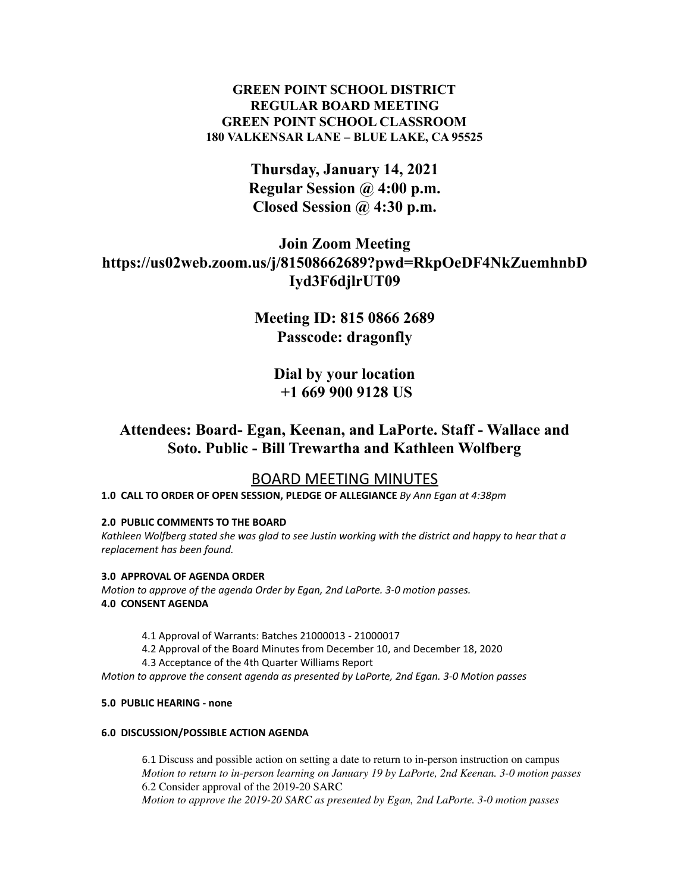# **GREEN POINT SCHOOL DISTRICT REGULAR BOARD MEETING GREEN POINT SCHOOL CLASSROOM 180 VALKENSAR LANE – BLUE LAKE, CA 95525**

**Thursday, January 14, 2021 Regular Session @ 4:00 p.m. Closed Session @ 4:30 p.m.**

# **Join Zoom Meeting https://us02web.zoom.us/j/81508662689?pwd=RkpOeDF4NkZuemhnbD Iyd3F6djlrUT09**

**Meeting ID: 815 0866 2689 Passcode: dragonfly**

> **Dial by your location +1 669 900 9128 US**

**Attendees: Board- Egan, Keenan, and LaPorte. Staff - Wallace and Soto. Public - Bill Trewartha and Kathleen Wolfberg**

# BOARD MEETING MINUTES

**1.0 CALL TO ORDER OF OPEN SESSION, PLEDGE OF ALLEGIANCE** *By Ann Egan at 4:38pm*

# **2.0 PUBLIC COMMENTS TO THE BOARD**

Kathleen Wolfberg stated she was glad to see Justin working with the district and happy to hear that a *replacement has been found.*

# **3.0 APPROVAL OF AGENDA ORDER**

*Motion to approve of the agenda Order by Egan, 2nd LaPorte. 3-0 motion passes.* **4.0 CONSENT AGENDA**

4.1 Approval of Warrants: Batches 21000013 - 21000017

4.2 Approval of the Board Minutes from December 10, and December 18, 2020

4.3 Acceptance of the 4th Quarter Williams Report

*Motion to approve the consent agenda as presented by LaPorte, 2nd Egan. 3-0 Motion passes*

# **5.0 PUBLIC HEARING - none**

#### **6.0 DISCUSSION/POSSIBLE ACTION AGENDA**

6.1 Discuss and possible action on setting a date to return to in-person instruction on campus *Motion to return to in-person learning on January 19 by LaPorte, 2nd Keenan. 3-0 motion passes* 6.2 Consider approval of the 2019-20 SARC *Motion to approve the 2019-20 SARC as presented by Egan, 2nd LaPorte. 3-0 motion passes*